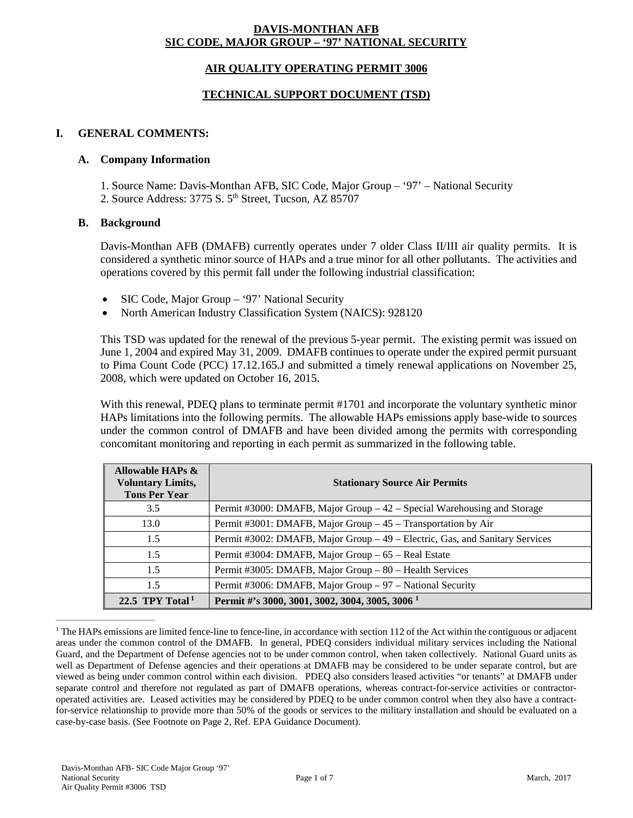## **DAVIS-MONTHAN AFB SIC CODE, MAJOR GROUP – '97' NATIONAL SECURITY**

## **AIR QUALITY OPERATING PERMIT 3006**

## **TECHNICAL SUPPORT DOCUMENT (TSD)**

### **I. GENERAL COMMENTS:**

#### **A. Company Information**

1. Source Name: Davis-Monthan AFB, SIC Code, Major Group – '97' – National Security

2. Source Address: 3775 S. 5<sup>th</sup> Street, Tucson, AZ 85707

#### **B. Background**

Davis-Monthan AFB (DMAFB) currently operates under 7 older Class II/III air quality permits. It is considered a synthetic minor source of HAPs and a true minor for all other pollutants. The activities and operations covered by this permit fall under the following industrial classification:

- SIC Code, Major Group '97' National Security
- North American Industry Classification System (NAICS): 928120

This TSD was updated for the renewal of the previous 5-year permit. The existing permit was issued on June 1, 2004 and expired May 31, 2009. DMAFB continues to operate under the expired permit pursuant to Pima Count Code (PCC) 17.12.165.J and submitted a timely renewal applications on November 25, 2008, which were updated on October 16, 2015.

With this renewal, PDEQ plans to terminate permit #1701 and incorporate the voluntary synthetic minor HAPs limitations into the following permits. The allowable HAPs emissions apply base-wide to sources under the common control of DMAFB and have been divided among the permits with corresponding concomitant monitoring and reporting in each permit as summarized in the following table.

| Allowable HAPs &<br><b>Voluntary Limits,</b><br><b>Tons Per Year</b> | <b>Stationary Source Air Permits</b>                                         |
|----------------------------------------------------------------------|------------------------------------------------------------------------------|
| 3.5                                                                  | Permit #3000: DMAFB, Major Group $-42$ – Special Warehousing and Storage     |
| 13.0                                                                 | Permit #3001: DMAFB, Major Group - 45 - Transportation by Air                |
| 1.5                                                                  | Permit #3002: DMAFB, Major Group - 49 - Electric, Gas, and Sanitary Services |
| 1.5                                                                  | Permit #3004: DMAFB, Major Group - 65 - Real Estate                          |
| 1.5                                                                  | Permit #3005: DMAFB, Major Group – 80 – Health Services                      |
| 1.5                                                                  | Permit #3006: DMAFB, Major Group - 97 - National Security                    |
| 22.5 TPY Total <sup>1</sup>                                          | Permit #'s 3000, 3001, 3002, 3004, 3005, 3006 <sup>1</sup>                   |

<sup>&</sup>lt;sup>1</sup> The HAPs emissions are limited fence-line to fence-line, in accordance with section 112 of the Act within the contiguous or adjacent areas under the common control of the DMAFB. In general, PDEQ considers individual military services including the National Guard, and the Department of Defense agencies not to be under common control, when taken collectively. National Guard units as well as Department of Defense agencies and their operations at DMAFB may be considered to be under separate control, but are viewed as being under common control within each division. PDEQ also considers leased activities "or tenants" at DMAFB under separate control and therefore not regulated as part of DMAFB operations, whereas contract-for-service activities or contractoroperated activities are. Leased activities may be considered by PDEQ to be under common control when they also have a contractfor-service relationship to provide more than 50% of the goods or services to the military installation and should be evaluated on a case-by-case basis. (See Footnote on Page 2, Ref. EPA Guidance Document).

 $\frac{1}{2}$  ,  $\frac{1}{2}$  ,  $\frac{1}{2}$  ,  $\frac{1}{2}$  ,  $\frac{1}{2}$  ,  $\frac{1}{2}$  ,  $\frac{1}{2}$  ,  $\frac{1}{2}$  ,  $\frac{1}{2}$  ,  $\frac{1}{2}$  ,  $\frac{1}{2}$  ,  $\frac{1}{2}$  ,  $\frac{1}{2}$  ,  $\frac{1}{2}$  ,  $\frac{1}{2}$  ,  $\frac{1}{2}$  ,  $\frac{1}{2}$  ,  $\frac{1}{2}$  ,  $\frac{1$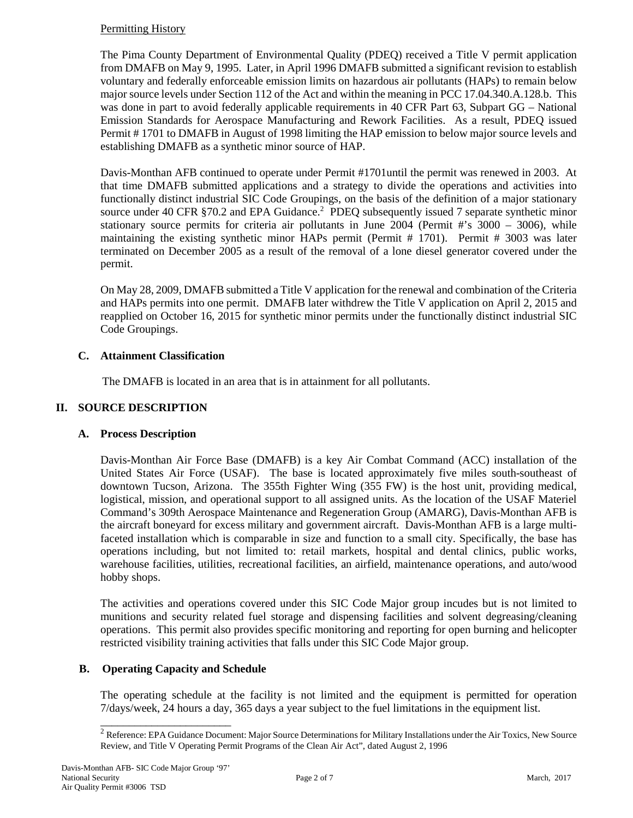## Permitting History

The Pima County Department of Environmental Quality (PDEQ) received a Title V permit application from DMAFB on May 9, 1995. Later, in April 1996 DMAFB submitted a significant revision to establish voluntary and federally enforceable emission limits on hazardous air pollutants (HAPs) to remain below major source levels under Section 112 of the Act and within the meaning in PCC 17.04.340.A.128.b. This was done in part to avoid federally applicable requirements in 40 CFR Part 63, Subpart GG – National Emission Standards for Aerospace Manufacturing and Rework Facilities. As a result, PDEQ issued Permit # 1701 to DMAFB in August of 1998 limiting the HAP emission to below major source levels and establishing DMAFB as a synthetic minor source of HAP.

Davis-Monthan AFB continued to operate under Permit #1701until the permit was renewed in 2003. At that time DMAFB submitted applications and a strategy to divide the operations and activities into functionally distinct industrial SIC Code Groupings, on the basis of the definition of a major stationary source under 40 CFR §70.2 and EPA Guidance.<sup>2</sup> PDEQ subsequently issued 7 separate synthetic minor stationary source permits for criteria air pollutants in June  $2004$  (Permit #'s  $3000 - 3006$ ), while maintaining the existing synthetic minor HAPs permit (Permit # 1701). Permit # 3003 was later terminated on December 2005 as a result of the removal of a lone diesel generator covered under the permit.

On May 28, 2009, DMAFB submitted a Title V application for the renewal and combination of the Criteria and HAPs permits into one permit. DMAFB later withdrew the Title V application on April 2, 2015 and reapplied on October 16, 2015 for synthetic minor permits under the functionally distinct industrial SIC Code Groupings.

# **C. Attainment Classification**

The DMAFB is located in an area that is in attainment for all pollutants.

# **II. SOURCE DESCRIPTION**

# **A. Process Description**

Davis-Monthan Air Force Base (DMAFB) is a key Air Combat Command (ACC) installation of the United States Air Force (USAF). The base is located approximately five miles south-southeast of downtown Tucson, Arizona. The 355th Fighter Wing (355 FW) is the host unit, providing medical, logistical, mission, and operational support to all assigned units. As the location of the USAF Materiel Command's 309th Aerospace Maintenance and Regeneration Group (AMARG), Davis-Monthan AFB is the aircraft boneyard for excess military and government aircraft. Davis-Monthan AFB is a large multifaceted installation which is comparable in size and function to a small city. Specifically, the base has operations including, but not limited to: retail markets, hospital and dental clinics, public works, warehouse facilities, utilities, recreational facilities, an airfield, maintenance operations, and auto/wood hobby shops.

The activities and operations covered under this SIC Code Major group incudes but is not limited to munitions and security related fuel storage and dispensing facilities and solvent degreasing/cleaning operations. This permit also provides specific monitoring and reporting for open burning and helicopter restricted visibility training activities that falls under this SIC Code Major group.

# **B. Operating Capacity and Schedule**

\_\_\_\_\_\_\_\_\_\_\_\_\_\_\_\_\_\_\_\_\_\_\_

The operating schedule at the facility is not limited and the equipment is permitted for operation 7/days/week, 24 hours a day, 365 days a year subject to the fuel limitations in the equipment list.

<sup>&</sup>lt;sup>2</sup> Reference: EPA Guidance Document: Major Source Determinations for Military Installations under the Air Toxics, New Source Review, and Title V Operating Permit Programs of the Clean Air Act", dated August 2, 1996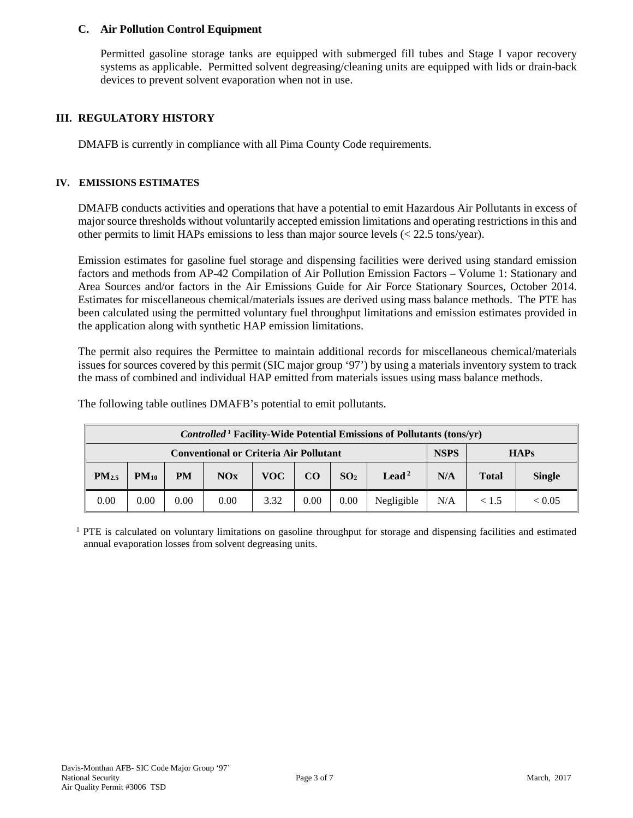## **C. Air Pollution Control Equipment**

Permitted gasoline storage tanks are equipped with submerged fill tubes and Stage I vapor recovery systems as applicable. Permitted solvent degreasing/cleaning units are equipped with lids or drain-back devices to prevent solvent evaporation when not in use.

## **III. REGULATORY HISTORY**

DMAFB is currently in compliance with all Pima County Code requirements.

### **IV. EMISSIONS ESTIMATES**

DMAFB conducts activities and operations that have a potential to emit Hazardous Air Pollutants in excess of major source thresholds without voluntarily accepted emission limitations and operating restrictions in this and other permits to limit HAPs emissions to less than major source levels (< 22.5 tons/year).

Emission estimates for gasoline fuel storage and dispensing facilities were derived using standard emission factors and methods from AP-42 Compilation of Air Pollution Emission Factors – Volume 1: Stationary and Area Sources and/or factors in the Air Emissions Guide for Air Force Stationary Sources, October 2014. Estimates for miscellaneous chemical/materials issues are derived using mass balance methods. The PTE has been calculated using the permitted voluntary fuel throughput limitations and emission estimates provided in the application along with synthetic HAP emission limitations.

The permit also requires the Permittee to maintain additional records for miscellaneous chemical/materials issues for sources covered by this permit (SIC major group '97') by using a materials inventory system to track the mass of combined and individual HAP emitted from materials issues using mass balance methods.

| <b>Controlled<sup>1</sup></b> Facility-Wide Potential Emissions of Pollutants (tons/yr) |           |           |      |      |      |                 |                   |     |              |               |
|-----------------------------------------------------------------------------------------|-----------|-----------|------|------|------|-----------------|-------------------|-----|--------------|---------------|
| <b>NSPS</b><br><b>Conventional or Criteria Air Pollutant</b><br><b>HAPs</b>             |           |           |      |      |      |                 |                   |     |              |               |
| $PM_{2.5}$                                                                              | $PM_{10}$ | <b>PM</b> | NOx  | VOC- | CO   | SO <sub>2</sub> | Lead <sup>2</sup> | N/A | <b>Total</b> | <b>Single</b> |
| 0.00                                                                                    | 0.00      | 0.00      | 0.00 | 3.32 | 0.00 | 0.00            | Negligible        | N/A | < 1.5        | < 0.05        |

The following table outlines DMAFB's potential to emit pollutants.

 $1$  PTE is calculated on voluntary limitations on gasoline throughput for storage and dispensing facilities and estimated annual evaporation losses from solvent degreasing units.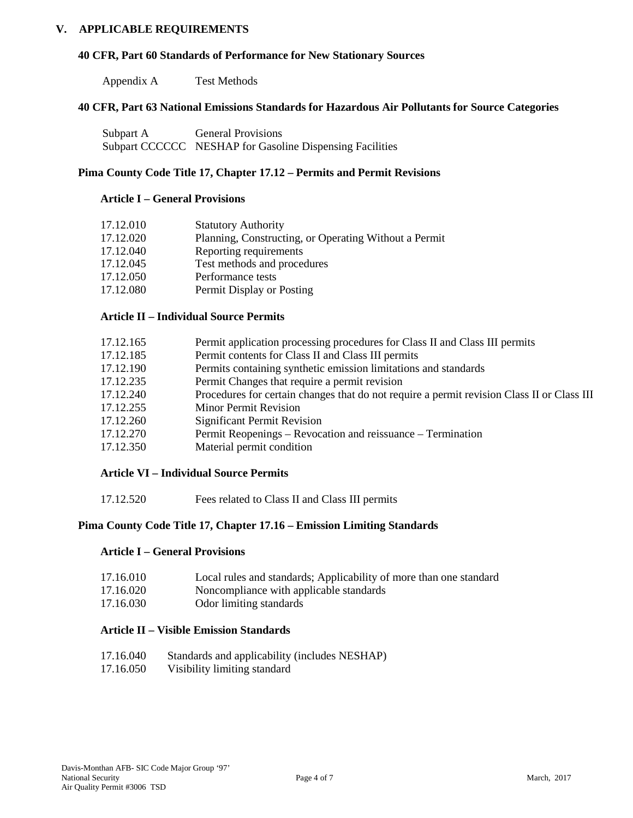## **V. APPLICABLE REQUIREMENTS**

#### **40 CFR, Part 60 Standards of Performance for New Stationary Sources**

Appendix A Test Methods

#### **40 CFR, Part 63 National Emissions Standards for Hazardous Air Pollutants for Source Categories**

| Subpart A | <b>General Provisions</b>                                |
|-----------|----------------------------------------------------------|
|           | Subpart CCCCCC NESHAP for Gasoline Dispensing Facilities |

### **Pima County Code Title 17, Chapter 17.12 – Permits and Permit Revisions**

#### **Article I – General Provisions**

| 17.12.010 | <b>Statutory Authority</b>                            |
|-----------|-------------------------------------------------------|
| 17.12.020 | Planning, Constructing, or Operating Without a Permit |
| 17.12.040 | Reporting requirements                                |
| 17.12.045 | Test methods and procedures                           |
| 17.12.050 | Performance tests                                     |
| 17.12.080 | Permit Display or Posting                             |

### **Article II – Individual Source Permits**

| 17.12.165 | Permit application processing procedures for Class II and Class III permits                |
|-----------|--------------------------------------------------------------------------------------------|
| 17.12.185 | Permit contents for Class II and Class III permits                                         |
| 17.12.190 | Permits containing synthetic emission limitations and standards                            |
| 17.12.235 | Permit Changes that require a permit revision                                              |
| 17.12.240 | Procedures for certain changes that do not require a permit revision Class II or Class III |
| 17.12.255 | <b>Minor Permit Revision</b>                                                               |
| 17.12.260 | <b>Significant Permit Revision</b>                                                         |
| 17.12.270 | Permit Reopenings – Revocation and reissuance – Termination                                |
| 17.12.350 | Material permit condition                                                                  |
|           |                                                                                            |

#### **Article VI – Individual Source Permits**

17.12.520 Fees related to Class II and Class III permits

# **Pima County Code Title 17, Chapter 17.16 – Emission Limiting Standards**

#### **Article I – General Provisions**

| 17.16.010         | Local rules and standards; Applicability of more than one standard |
|-------------------|--------------------------------------------------------------------|
| 17 16 $\Omega$ 00 | Manaannalianaa mitkannaliaakka atan danda                          |

- 17.16.020 Noncompliance with applicable standards
- 17.16.030 Odor limiting standards

## **Article II – Visible Emission Standards**

- 17.16.040 Standards and applicability (includes NESHAP)
- 17.16.050 Visibility limiting standard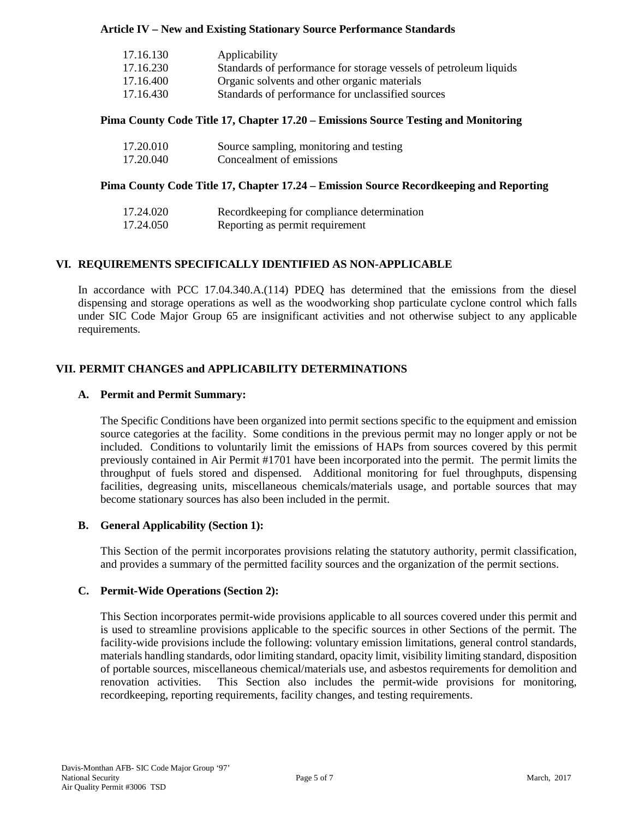## **Article IV – New and Existing Stationary Source Performance Standards**

| 17.16.130 | Applicability                                                     |
|-----------|-------------------------------------------------------------------|
| 17.16.230 | Standards of performance for storage vessels of petroleum liquids |
| 17.16.400 | Organic solvents and other organic materials                      |
| 17.16.430 | Standards of performance for unclassified sources                 |

## **Pima County Code Title 17, Chapter 17.20 – Emissions Source Testing and Monitoring**

| 17.20.010 | Source sampling, monitoring and testing |
|-----------|-----------------------------------------|
| 17.20.040 | Concealment of emissions                |

## **Pima County Code Title 17, Chapter 17.24 – Emission Source Recordkeeping and Reporting**

| 17.24.020 | Recordkeeping for compliance determination |
|-----------|--------------------------------------------|
| 17.24.050 | Reporting as permit requirement            |

# **VI. REQUIREMENTS SPECIFICALLY IDENTIFIED AS NON-APPLICABLE**

In accordance with PCC 17.04.340.A.(114) PDEQ has determined that the emissions from the diesel dispensing and storage operations as well as the woodworking shop particulate cyclone control which falls under SIC Code Major Group 65 are insignificant activities and not otherwise subject to any applicable requirements.

# **VII. PERMIT CHANGES and APPLICABILITY DETERMINATIONS**

## **A. Permit and Permit Summary:**

The Specific Conditions have been organized into permit sections specific to the equipment and emission source categories at the facility. Some conditions in the previous permit may no longer apply or not be included. Conditions to voluntarily limit the emissions of HAPs from sources covered by this permit previously contained in Air Permit #1701 have been incorporated into the permit. The permit limits the throughput of fuels stored and dispensed. Additional monitoring for fuel throughputs, dispensing facilities, degreasing units, miscellaneous chemicals/materials usage, and portable sources that may become stationary sources has also been included in the permit.

### **B. General Applicability (Section 1):**

This Section of the permit incorporates provisions relating the statutory authority, permit classification, and provides a summary of the permitted facility sources and the organization of the permit sections.

### **C. Permit-Wide Operations (Section 2):**

This Section incorporates permit-wide provisions applicable to all sources covered under this permit and is used to streamline provisions applicable to the specific sources in other Sections of the permit. The facility-wide provisions include the following: voluntary emission limitations, general control standards, materials handling standards, odor limiting standard, opacity limit, visibility limiting standard, disposition of portable sources, miscellaneous chemical/materials use, and asbestos requirements for demolition and renovation activities. This Section also includes the permit-wide provisions for monitoring, recordkeeping, reporting requirements, facility changes, and testing requirements.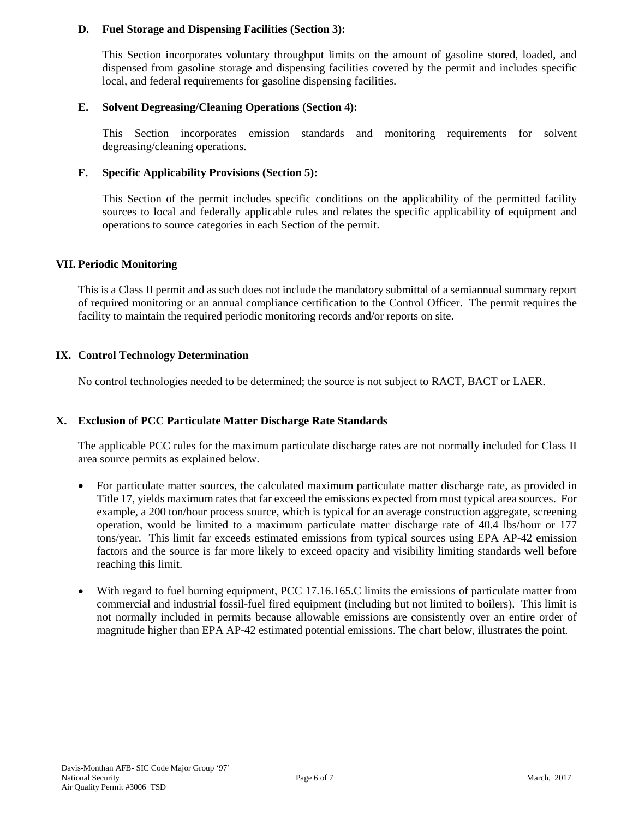## **D. Fuel Storage and Dispensing Facilities (Section 3):**

This Section incorporates voluntary throughput limits on the amount of gasoline stored, loaded, and dispensed from gasoline storage and dispensing facilities covered by the permit and includes specific local, and federal requirements for gasoline dispensing facilities.

## **E. Solvent Degreasing/Cleaning Operations (Section 4):**

This Section incorporates emission standards and monitoring requirements for solvent degreasing/cleaning operations.

## **F. Specific Applicability Provisions (Section 5):**

This Section of the permit includes specific conditions on the applicability of the permitted facility sources to local and federally applicable rules and relates the specific applicability of equipment and operations to source categories in each Section of the permit.

### **VII. Periodic Monitoring**

This is a Class II permit and as such does not include the mandatory submittal of a semiannual summary report of required monitoring or an annual compliance certification to the Control Officer. The permit requires the facility to maintain the required periodic monitoring records and/or reports on site.

## **IX. Control Technology Determination**

No control technologies needed to be determined; the source is not subject to RACT, BACT or LAER.

# **X. Exclusion of PCC Particulate Matter Discharge Rate Standards**

The applicable PCC rules for the maximum particulate discharge rates are not normally included for Class II area source permits as explained below.

- For particulate matter sources, the calculated maximum particulate matter discharge rate, as provided in Title 17, yields maximum rates that far exceed the emissions expected from most typical area sources. For example, a 200 ton/hour process source, which is typical for an average construction aggregate, screening operation, would be limited to a maximum particulate matter discharge rate of 40.4 lbs/hour or 177 tons/year. This limit far exceeds estimated emissions from typical sources using EPA AP-42 emission factors and the source is far more likely to exceed opacity and visibility limiting standards well before reaching this limit.
- With regard to fuel burning equipment, PCC 17.16.165.C limits the emissions of particulate matter from commercial and industrial fossil-fuel fired equipment (including but not limited to boilers). This limit is not normally included in permits because allowable emissions are consistently over an entire order of magnitude higher than EPA AP-42 estimated potential emissions. The chart below, illustrates the point.